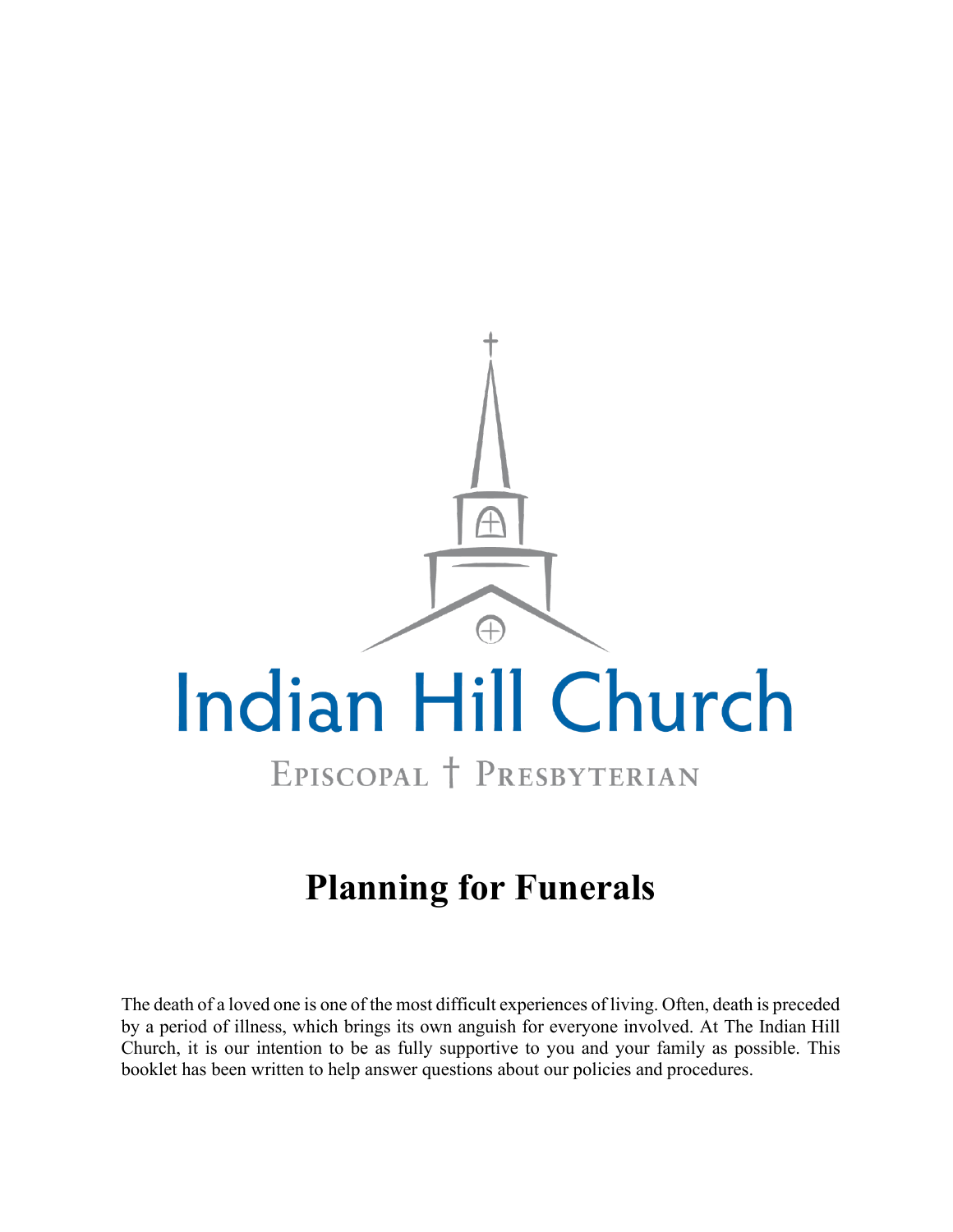

# **Planning for Funerals**

The death of a loved one is one of the most difficult experiences of living. Often, death is preceded by a period of illness, which brings its own anguish for everyone involved. At The Indian Hill Church, it is our intention to be as fully supportive to you and your family as possible. This booklet has been written to help answer questions about our policies and procedures.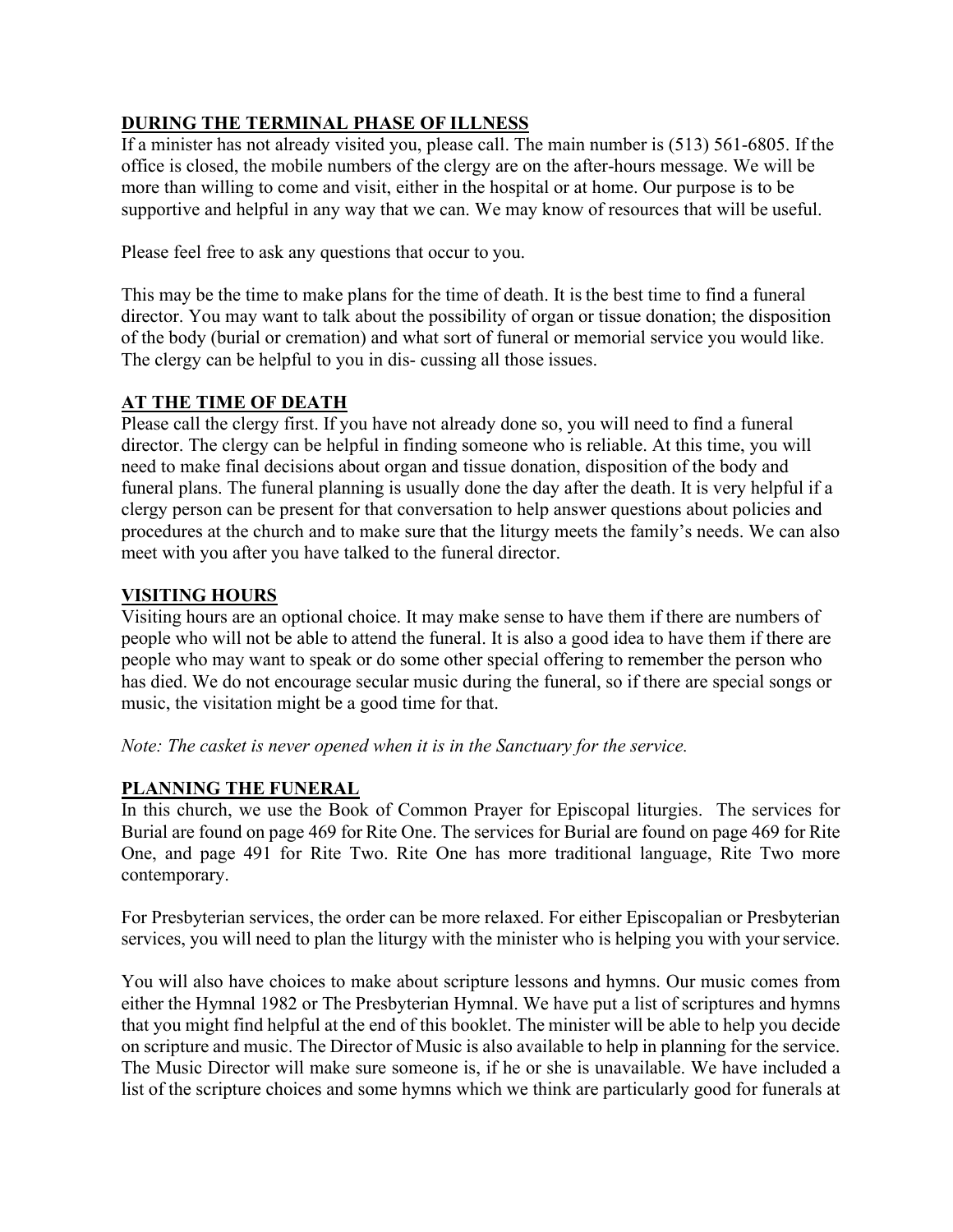# **DURING THE TERMINAL PHASE OF ILLNESS**

If a minister has not already visited you, please call. The main number is (513) 561-6805. If the office is closed, the mobile numbers of the clergy are on the after-hours message. We will be more than willing to come and visit, either in the hospital or at home. Our purpose is to be supportive and helpful in any way that we can. We may know of resources that will be useful.

Please feel free to ask any questions that occur to you.

This may be the time to make plans for the time of death. It is the best time to find a funeral director. You may want to talk about the possibility of organ or tissue donation; the disposition of the body (burial or cremation) and what sort of funeral or memorial service you would like. The clergy can be helpful to you in dis- cussing all those issues.

# **AT THE TIME OF DEATH**

Please call the clergy first. If you have not already done so, you will need to find a funeral director. The clergy can be helpful in finding someone who is reliable. At this time, you will need to make final decisions about organ and tissue donation, disposition of the body and funeral plans. The funeral planning is usually done the day after the death. It is very helpful if a clergy person can be present for that conversation to help answer questions about policies and procedures at the church and to make sure that the liturgy meets the family's needs. We can also meet with you after you have talked to the funeral director.

# **VISITING HOURS**

Visiting hours are an optional choice. It may make sense to have them if there are numbers of people who will not be able to attend the funeral. It is also a good idea to have them if there are people who may want to speak or do some other special offering to remember the person who has died. We do not encourage secular music during the funeral, so if there are special songs or music, the visitation might be a good time for that.

# *Note: The casket is never opened when it is in the Sanctuary for the service.*

# **PLANNING THE FUNERAL**

In this church, we use the Book of Common Prayer for Episcopal liturgies. The services for Burial are found on page 469 for Rite One. The services for Burial are found on page 469 for Rite One, and page 491 for Rite Two. Rite One has more traditional language, Rite Two more contemporary.

For Presbyterian services, the order can be more relaxed. For either Episcopalian or Presbyterian services, you will need to plan the liturgy with the minister who is helping you with yourservice.

You will also have choices to make about scripture lessons and hymns. Our music comes from either the Hymnal 1982 or The Presbyterian Hymnal. We have put a list of scriptures and hymns that you might find helpful at the end of this booklet. The minister will be able to help you decide on scripture and music. The Director of Music is also available to help in planning for the service. The Music Director will make sure someone is, if he or she is unavailable. We have included a list of the scripture choices and some hymns which we think are particularly good for funerals at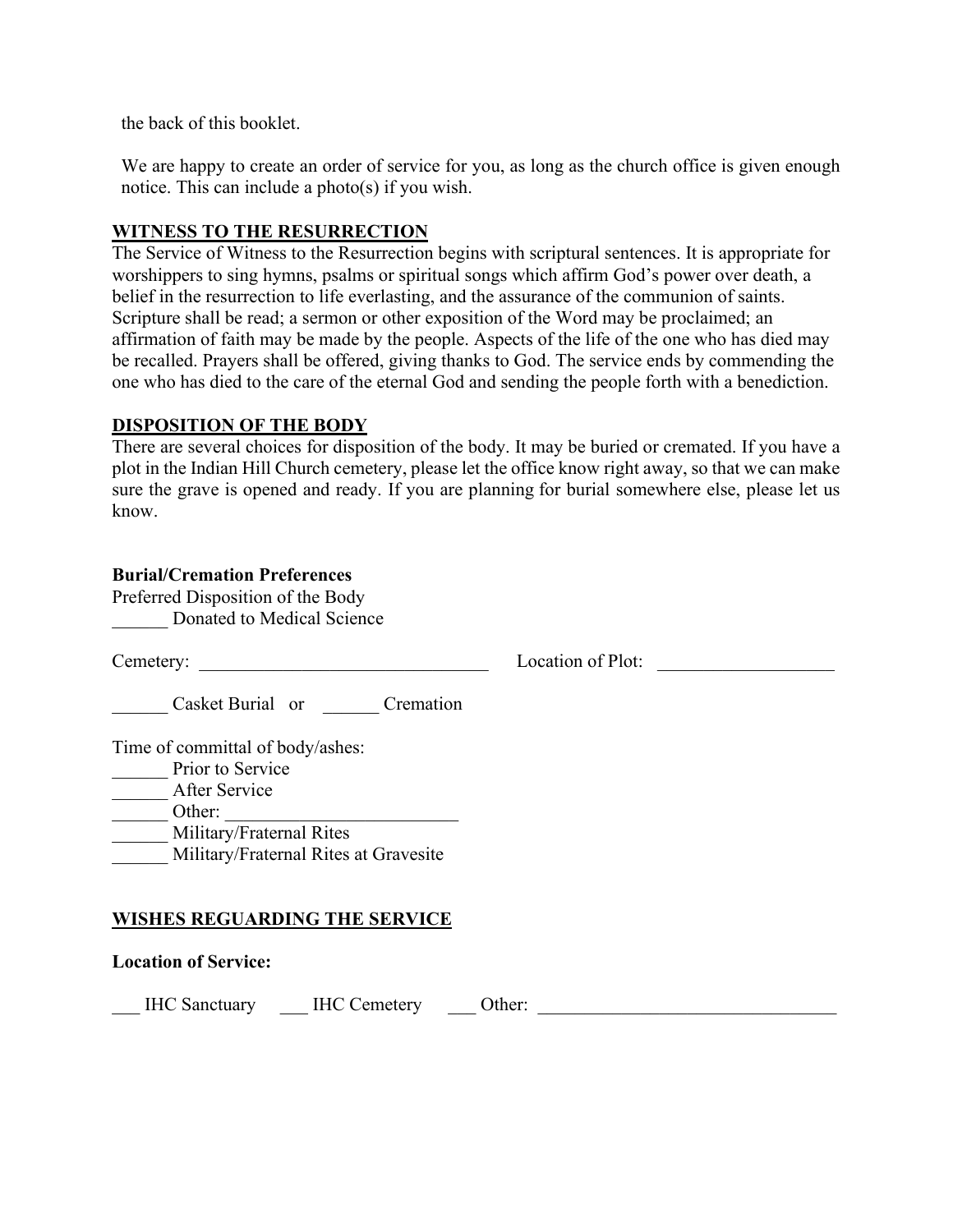the back of this booklet.

We are happy to create an order of service for you, as long as the church office is given enough notice. This can include a photo(s) if you wish.

## **WITNESS TO THE RESURRECTION**

The Service of Witness to the Resurrection begins with scriptural sentences. It is appropriate for worshippers to sing hymns, psalms or spiritual songs which affirm God's power over death, a belief in the resurrection to life everlasting, and the assurance of the communion of saints. Scripture shall be read; a sermon or other exposition of the Word may be proclaimed; an affirmation of faith may be made by the people. Aspects of the life of the one who has died may be recalled. Prayers shall be offered, giving thanks to God. The service ends by commending the one who has died to the care of the eternal God and sending the people forth with a benediction.

#### **DISPOSITION OF THE BODY**

There are several choices for disposition of the body. It may be buried or cremated. If you have a plot in the Indian Hill Church cemetery, please let the office know right away, so that we can make sure the grave is opened and ready. If you are planning for burial somewhere else, please let us know.

# **Burial/Cremation Preferences**

Preferred Disposition of the Body Donated to Medical Science

Cemetery: Location of Plot:

\_\_\_\_\_\_ Casket Burial or \_\_\_\_\_\_ Cremation

Time of committal of body/ashes:

- **Prior to Service** \_\_\_\_\_\_ After Service
- $\frac{1}{\sqrt{1-\frac{1}{2}}\cdot\frac{1}{2}}$  Other:
	- Military/Fraternal Rites
- Military/Fraternal Rites at Gravesite

# **WISHES REGUARDING THE SERVICE**

#### **Location of Service:**

\_\_\_ IHC Sanctuary \_\_\_ IHC Cemetery \_\_\_ Other: \_\_\_\_\_\_\_\_\_\_\_\_\_\_\_\_\_\_\_\_\_\_\_\_\_\_\_\_\_\_\_\_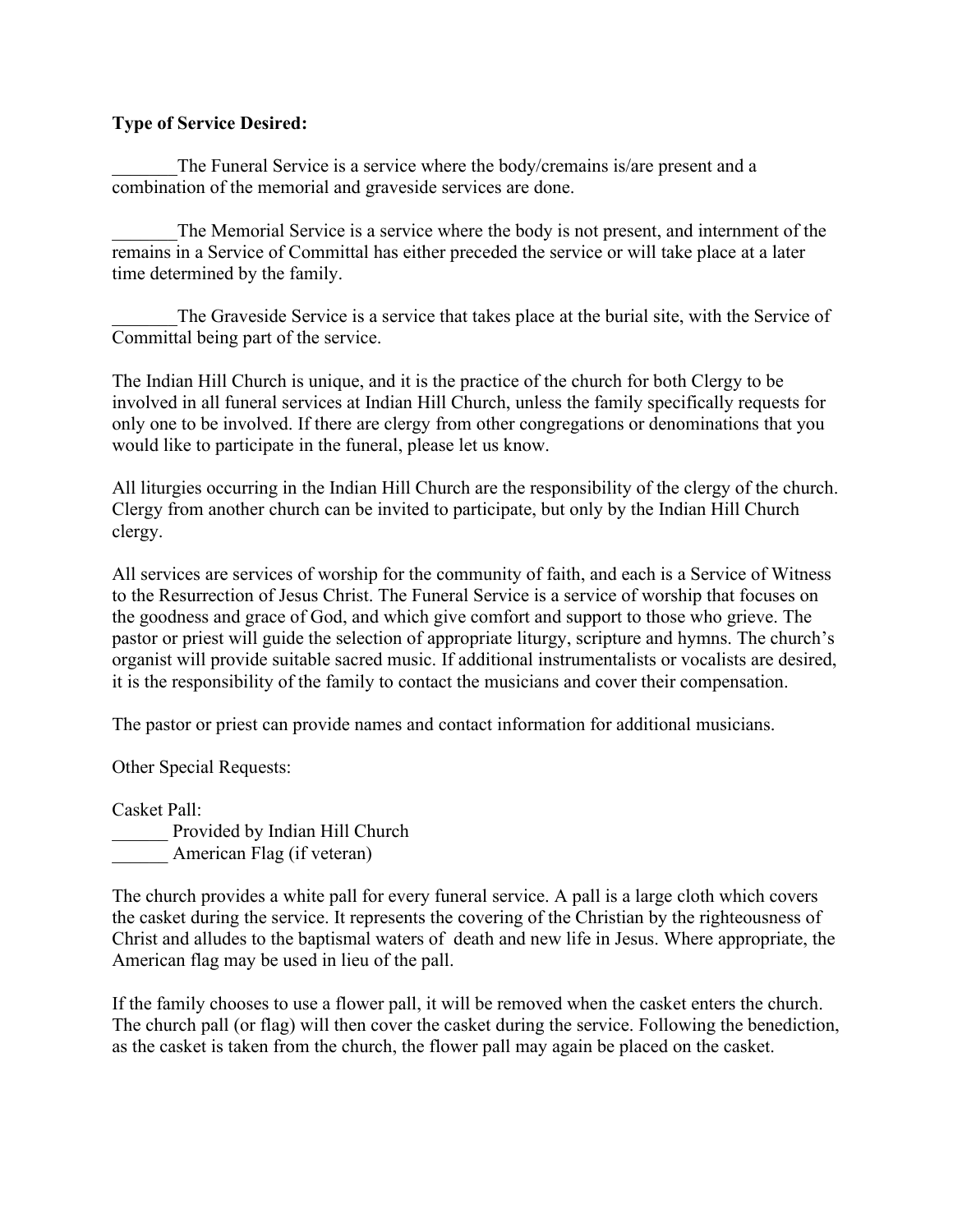## **Type of Service Desired:**

The Funeral Service is a service where the body/cremains is/are present and a combination of the memorial and graveside services are done.

The Memorial Service is a service where the body is not present, and internment of the remains in a Service of Committal has either preceded the service or will take place at a later time determined by the family.

The Graveside Service is a service that takes place at the burial site, with the Service of Committal being part of the service.

The Indian Hill Church is unique, and it is the practice of the church for both Clergy to be involved in all funeral services at Indian Hill Church, unless the family specifically requests for only one to be involved. If there are clergy from other congregations or denominations that you would like to participate in the funeral, please let us know.

All liturgies occurring in the Indian Hill Church are the responsibility of the clergy of the church. Clergy from another church can be invited to participate, but only by the Indian Hill Church clergy.

All services are services of worship for the community of faith, and each is a Service of Witness to the Resurrection of Jesus Christ. The Funeral Service is a service of worship that focuses on the goodness and grace of God, and which give comfort and support to those who grieve. The pastor or priest will guide the selection of appropriate liturgy, scripture and hymns. The church's organist will provide suitable sacred music. If additional instrumentalists or vocalists are desired, it is the responsibility of the family to contact the musicians and cover their compensation.

The pastor or priest can provide names and contact information for additional musicians.

Other Special Requests:

Casket Pall:

Provided by Indian Hill Church American Flag (if veteran)

The church provides a white pall for every funeral service. A pall is a large cloth which covers the casket during the service. It represents the covering of the Christian by the righteousness of Christ and alludes to the baptismal waters of death and new life in Jesus. Where appropriate, the American flag may be used in lieu of the pall.

If the family chooses to use a flower pall, it will be removed when the casket enters the church. The church pall (or flag) will then cover the casket during the service. Following the benediction, as the casket is taken from the church, the flower pall may again be placed on the casket.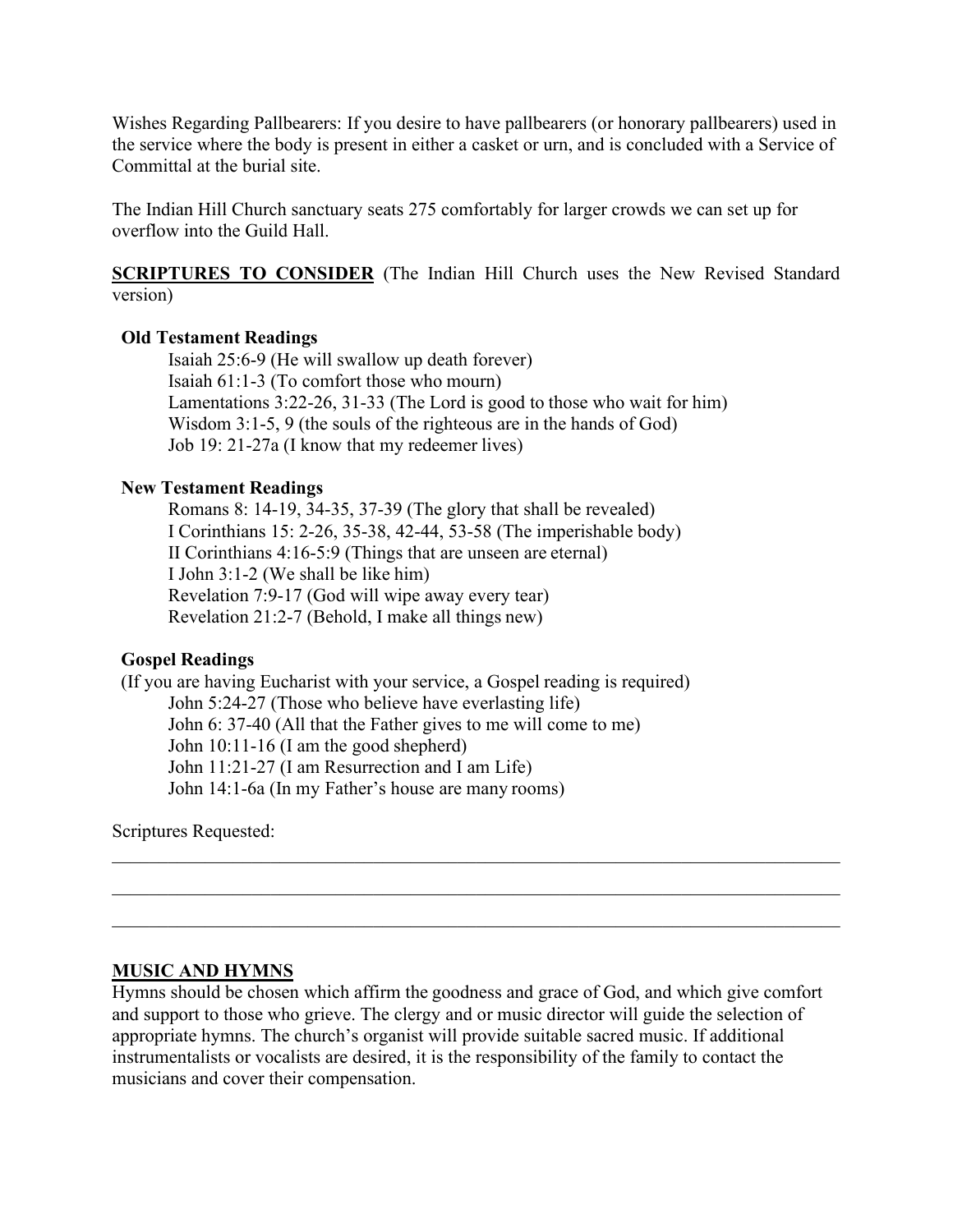Wishes Regarding Pallbearers: If you desire to have pallbearers (or honorary pallbearers) used in the service where the body is present in either a casket or urn, and is concluded with a Service of Committal at the burial site.

The Indian Hill Church sanctuary seats 275 comfortably for larger crowds we can set up for overflow into the Guild Hall.

**SCRIPTURES TO CONSIDER** (The Indian Hill Church uses the New Revised Standard version)

## **Old Testament Readings**

Isaiah 25:6-9 (He will swallow up death forever) Isaiah 61:1-3 (To comfort those who mourn) Lamentations 3:22-26, 31-33 (The Lord is good to those who wait for him) Wisdom 3:1-5, 9 (the souls of the righteous are in the hands of God) Job 19: 21-27a (I know that my redeemer lives)

#### **New Testament Readings**

Romans 8: 14-19, 34-35, 37-39 (The glory that shall be revealed) I Corinthians 15: 2-26, 35-38, 42-44, 53-58 (The imperishable body) II Corinthians 4:16-5:9 (Things that are unseen are eternal) I John 3:1-2 (We shall be like him) Revelation 7:9-17 (God will wipe away every tear) Revelation 21:2-7 (Behold, I make all things new)

# **Gospel Readings**

(If you are having Eucharist with your service, a Gospel reading is required) John 5:24-27 (Those who believe have everlasting life) John 6: 37-40 (All that the Father gives to me will come to me) John 10:11-16 (I am the good shepherd) John 11:21-27 (I am Resurrection and I am Life) John 14:1-6a (In my Father's house are many rooms)

Scriptures Requested:

#### **MUSIC AND HYMNS**

Hymns should be chosen which affirm the goodness and grace of God, and which give comfort and support to those who grieve. The clergy and or music director will guide the selection of appropriate hymns. The church's organist will provide suitable sacred music. If additional instrumentalists or vocalists are desired, it is the responsibility of the family to contact the musicians and cover their compensation.

\_\_\_\_\_\_\_\_\_\_\_\_\_\_\_\_\_\_\_\_\_\_\_\_\_\_\_\_\_\_\_\_\_\_\_\_\_\_\_\_\_\_\_\_\_\_\_\_\_\_\_\_\_\_\_\_\_\_\_\_\_\_\_\_\_\_\_\_\_\_\_\_\_\_\_\_\_\_

\_\_\_\_\_\_\_\_\_\_\_\_\_\_\_\_\_\_\_\_\_\_\_\_\_\_\_\_\_\_\_\_\_\_\_\_\_\_\_\_\_\_\_\_\_\_\_\_\_\_\_\_\_\_\_\_\_\_\_\_\_\_\_\_\_\_\_\_\_\_\_\_\_\_\_\_\_\_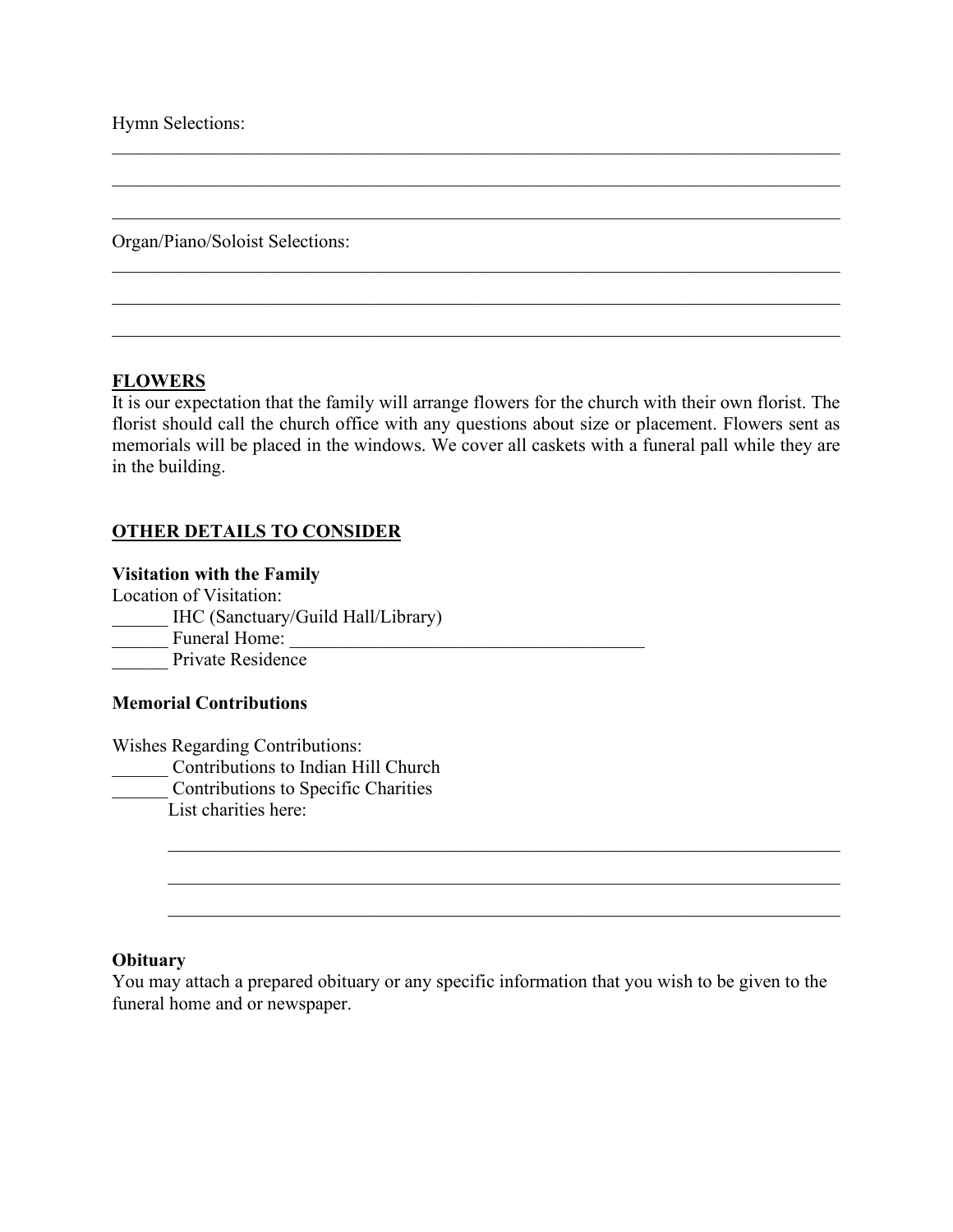Hymn Selections:

Organ/Piano/Soloist Selections:

#### **FLOWERS**

It is our expectation that the family will arrange flowers for the church with their own florist. The florist should call the church office with any questions about size or placement. Flowers sent as memorials will be placed in the windows. We cover all caskets with a funeral pall while they are in the building.

 $\mathcal{L}_\mathcal{L} = \mathcal{L}_\mathcal{L} = \mathcal{L}_\mathcal{L} = \mathcal{L}_\mathcal{L} = \mathcal{L}_\mathcal{L} = \mathcal{L}_\mathcal{L} = \mathcal{L}_\mathcal{L} = \mathcal{L}_\mathcal{L} = \mathcal{L}_\mathcal{L} = \mathcal{L}_\mathcal{L} = \mathcal{L}_\mathcal{L} = \mathcal{L}_\mathcal{L} = \mathcal{L}_\mathcal{L} = \mathcal{L}_\mathcal{L} = \mathcal{L}_\mathcal{L} = \mathcal{L}_\mathcal{L} = \mathcal{L}_\mathcal{L}$ 

\_\_\_\_\_\_\_\_\_\_\_\_\_\_\_\_\_\_\_\_\_\_\_\_\_\_\_\_\_\_\_\_\_\_\_\_\_\_\_\_\_\_\_\_\_\_\_\_\_\_\_\_\_\_\_\_\_\_\_\_\_\_\_\_\_\_\_\_\_\_\_\_\_\_\_\_\_\_

\_\_\_\_\_\_\_\_\_\_\_\_\_\_\_\_\_\_\_\_\_\_\_\_\_\_\_\_\_\_\_\_\_\_\_\_\_\_\_\_\_\_\_\_\_\_\_\_\_\_\_\_\_\_\_\_\_\_\_\_\_\_\_\_\_\_\_\_\_\_\_\_\_\_\_\_\_\_

\_\_\_\_\_\_\_\_\_\_\_\_\_\_\_\_\_\_\_\_\_\_\_\_\_\_\_\_\_\_\_\_\_\_\_\_\_\_\_\_\_\_\_\_\_\_\_\_\_\_\_\_\_\_\_\_\_\_\_\_\_\_\_\_\_\_\_\_\_\_\_\_\_\_\_\_\_\_

#### **OTHER DETAILS TO CONSIDER**

#### **Visitation with the Family**

Location of Visitation: \_\_\_\_\_\_ IHC (Sanctuary/Guild Hall/Library)  $\frac{1}{\sqrt{2\pi}}$  Funeral Home: Private Residence

#### **Memorial Contributions**

Wishes Regarding Contributions: \_\_\_\_\_\_ Contributions to Indian Hill Church **Contributions to Specific Charities** List charities here:

#### **Obituary**

You may attach a prepared obituary or any specific information that you wish to be given to the funeral home and or newspaper.

 $\_$  , and the set of the set of the set of the set of the set of the set of the set of the set of the set of the set of the set of the set of the set of the set of the set of the set of the set of the set of the set of th

 $\_$  , and the set of the set of the set of the set of the set of the set of the set of the set of the set of the set of the set of the set of the set of the set of the set of the set of the set of the set of the set of th

 $\_$  , and the set of the set of the set of the set of the set of the set of the set of the set of the set of the set of the set of the set of the set of the set of the set of the set of the set of the set of the set of th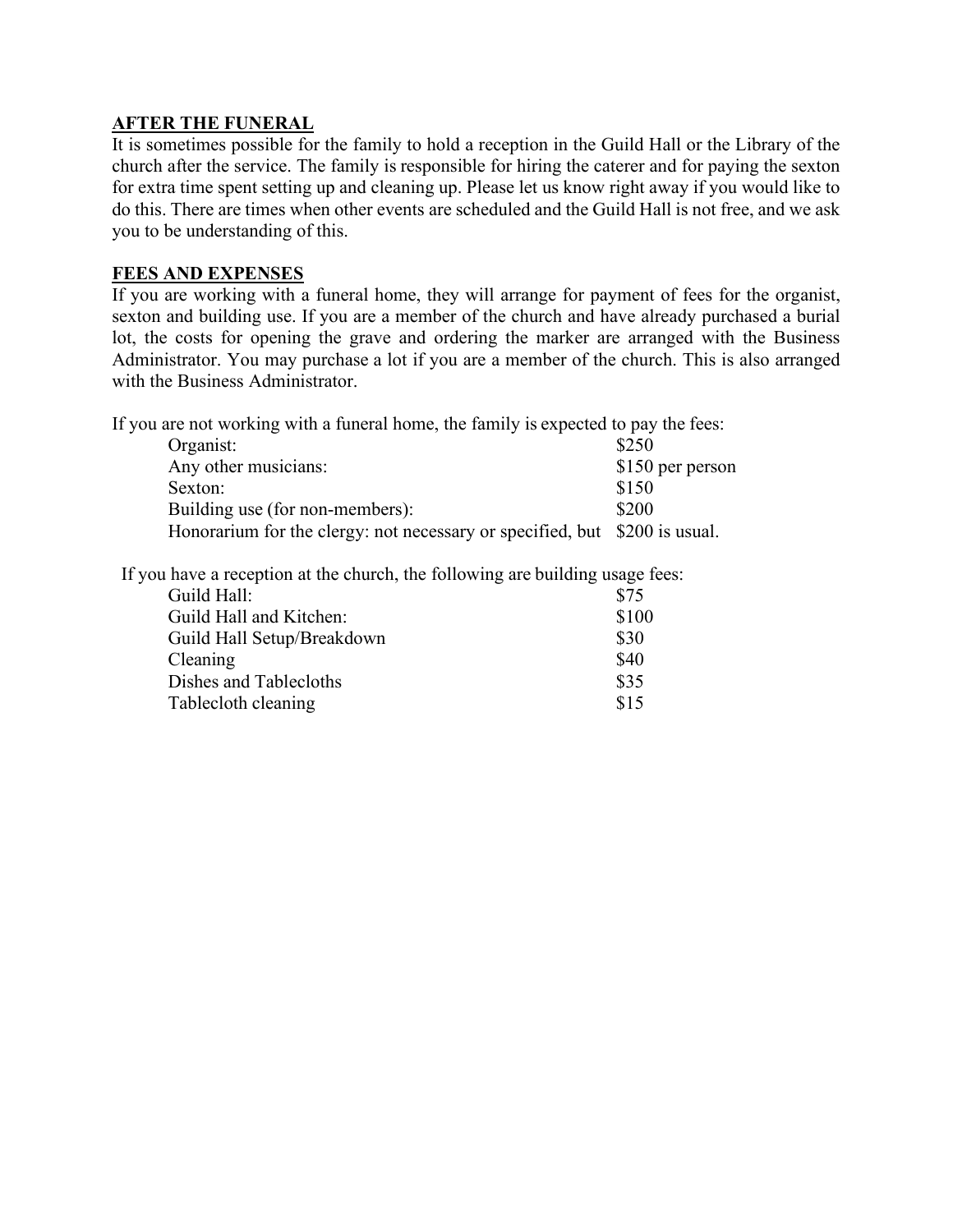# **AFTER THE FUNERAL**

It is sometimes possible for the family to hold a reception in the Guild Hall or the Library of the church after the service. The family is responsible for hiring the caterer and for paying the sexton for extra time spent setting up and cleaning up. Please let us know right away if you would like to do this. There are times when other events are scheduled and the Guild Hall is not free, and we ask you to be understanding of this.

## **FEES AND EXPENSES**

If you are working with a funeral home, they will arrange for payment of fees for the organist, sexton and building use. If you are a member of the church and have already purchased a burial lot, the costs for opening the grave and ordering the marker are arranged with the Business Administrator. You may purchase a lot if you are a member of the church. This is also arranged with the Business Administrator.

If you are not working with a funeral home, the family is expected to pay the fees:

| Organist:                                                                  | \$250            |
|----------------------------------------------------------------------------|------------------|
| Any other musicians:                                                       | \$150 per person |
| Sexton:                                                                    | \$150            |
| Building use (for non-members):                                            | \$200            |
| Honorarium for the clergy: not necessary or specified, but \$200 is usual. |                  |

If you have a reception at the church, the following are building usage fees:

| Guild Hall:                | \$75  |
|----------------------------|-------|
| Guild Hall and Kitchen:    | \$100 |
| Guild Hall Setup/Breakdown | \$30  |
| Cleaning                   | \$40  |
| Dishes and Tablecloths     | \$35  |
| Tablecloth cleaning        | \$15  |